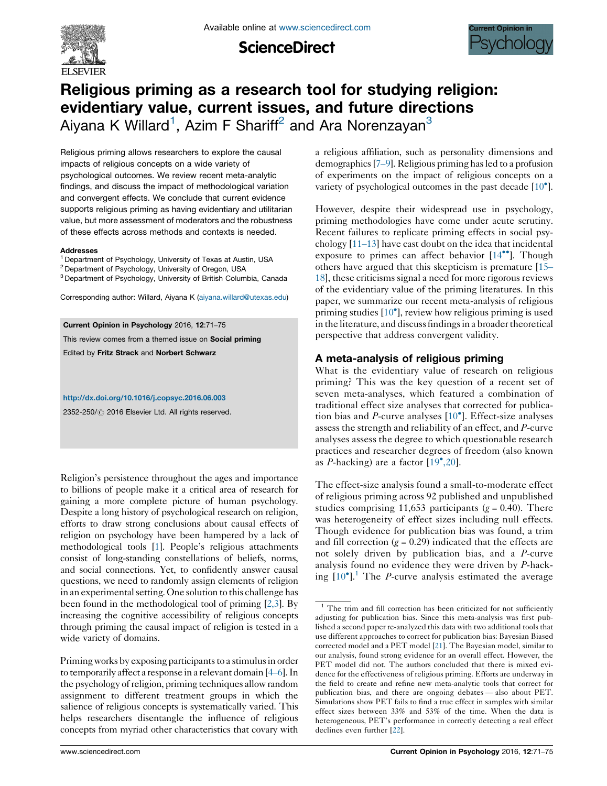

**ScienceDirect** 



# Religious priming as a research tool for studying religion: evidentiary value, current issues, and future directions Aiyana K Willard<sup>1</sup>, Azim F Shariff<sup>2</sup> and Ara Norenzayan<sup>3</sup>

Religious priming allows researchers to explore the causal impacts of religious concepts on a wide variety of psychological outcomes. We review recent meta-analytic findings, and discuss the impact of methodological variation and convergent effects. We conclude that current evidence supports religious priming as having evidentiary and utilitarian value, but more assessment of moderators and the robustness of these effects across methods and contexts is needed.

### Addresses

- <sup>1</sup> Department of Psychology, University of Texas at Austin, USA
- <sup>2</sup> Department of Psychology, University of Oregon, USA
- <sup>3</sup> Department of Psychology, University of British Columbia, Canada

Corresponding author: Willard, Aiyana K ([aiyana.willard@utexas.edu](mailto:aiyana.willard@utexas.edu))

Current Opinion in Psychology 2016, 12:71–75 This review comes from a themed issue on Social priming Edited by Fritz Strack and Norbert Schwarz

### <http://dx.doi.org/10.1016/j.copsyc.2016.06.003>

2352-250/ 2016 Elsevier Ltd. All rights reserved.

Religion's persistence throughout the ages and importance to billions of people make it a critical area of research for gaining a more complete picture of human psychology. Despite a long history of psychological research on religion, efforts to draw strong conclusions about causal effects of religion on psychology have been hampered by a lack of methodological tools [\[1\]](#page-2-0). People's religious attachments consist of long-standing constellations of beliefs, norms, and social connections. Yet, to confidently answer causal questions, we need to randomly assign elements of religion in an experimental setting. One solution to this challenge has been found in the methodological tool of priming [[2,3](#page-2-0)]. By increasing the cognitive accessibility of religious concepts through priming the causal impact of religion is tested in a wide variety of domains.

Priming works by exposing participants to a stimulus in order to temporarily affect a response in a relevant domain  $[4–6]$  $[4–6]$  $[4–6]$ . In the psychology ofreligion, priming techniques allow random assignment to different treatment groups in which the salience of religious concepts is systematically varied. This helps researchers disentangle the influence of religious concepts from myriad other characteristics that covary with a religious affiliation, such as personality dimensions and demographics[7[–](#page-3-0)9]. Religious priming hasled to a profusion of experiments on the impact of religious concepts on a variety of psychological outcomes in the past decade [\[10](#page-3-0)°].

However, despite their widespread use in psychology, priming methodologies have come under acute scrutiny. Recent failures to replicate priming effects in social psychology [11–[13\]](#page-3-0) have cast doubt on the idea that incidental exposure to primes can affect behavior [\[14](#page-3-0)<sup>oo</sup>]. Though others have argued that this skepticism is premature [[15](#page-3-0)– [18\]](#page-3-0), these criticisms signal a need for more rigorous reviews of the evidentiary value of the priming literatures. In this paper, we summarize our recent meta-analysis of religious priming studies [\[10](#page-3-0)<sup>°</sup>], review how religious priming is used in the literature, and discuss findings in a broader theoretical perspective that address convergent validity.

## A meta-analysis of religious priming

What is the evidentiary value of research on religious priming? This was the key question of a recent set of seven meta-analyses, which featured a combination of traditional effect size analyses that corrected for publication bias and P-curve analyses  $[10^{\circ}]$  $[10^{\circ}]$ . Effect-size analyses assess the strength and reliability of an effect, and P-curve analyses assess the degree to which questionable research practices and researcher degrees of freedom (also known as P-hacking) are a factor  $\left[19^{\circ},20\right]$  $\left[19^{\circ},20\right]$  $\left[19^{\circ},20\right]$ .

The effect-size analysis found a small-to-moderate effect of religious priming across 92 published and unpublished studies comprising 11,653 participants ( $g = 0.40$ ). There was heterogeneity of effect sizes including null effects. Though evidence for publication bias was found, a trim and fill correction ( $g = 0.29$ ) indicated that the effects are not solely driven by publication bias, and a P-curve analysis found no evidence they were driven by P-hack-ing [[10](#page-3-0)<sup>°</sup>].<sup>1</sup> The *P*-curve analysis estimated the average

 $1$  The trim and fill correction has been criticized for not sufficiently adjusting for publication bias. Since this meta-analysis was first published a second paper re-analyzed this data with two additional tools that use different approaches to correct for publication bias: Bayesian Biased corrected model and a PET model [\[21\]](#page-3-0). The Bayesian model, similar to our analysis, found strong evidence for an overall effect. However, the PET model did not. The authors concluded that there is mixed evidence for the effectiveness of religious priming. Efforts are underway in the field to create and refine new meta-analytic tools that correct for publication bias, and there are ongoing debates — also about PET. Simulations show PET fails to find a true effect in samples with similar effect sizes between 33% and 53% of the time. When the data is heterogeneous, PET's performance in correctly detecting a real effect declines even further [\[22](#page-3-0)].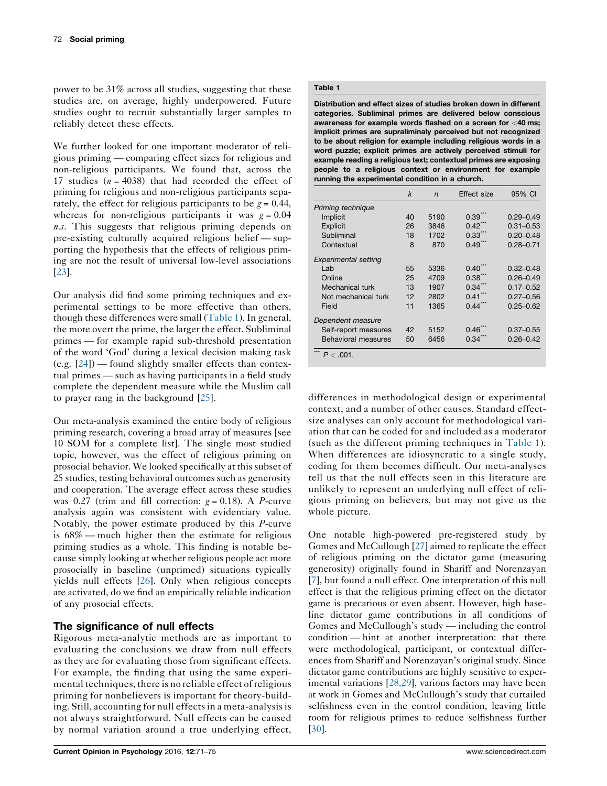power to be 31% across all studies, suggesting that these studies are, on average, highly underpowered. Future studies ought to recruit substantially larger samples to reliably detect these effects.

We further looked for one important moderator of religious priming — comparing effect sizes for religious and non-religious participants. We found that, across the 17 studies  $(n = 4038)$  that had recorded the effect of priming for religious and non-religious participants separately, the effect for religious participants to be  $g = 0.44$ , whereas for non-religious participants it was  $g = 0.04$ n.s. This suggests that religious priming depends on pre-existing culturally acquired religious belief — supporting the hypothesis that the effects of religious priming are not the result of universal low-level associations [\[23](#page-3-0)].

Our analysis did find some priming techniques and experimental settings to be more effective than others, though these differences were small (Table 1). In general, the more overt the prime, the larger the effect. Subliminal primes — for example rapid sub-threshold presentation of the word 'God' during a lexical decision making task (e.g.  $[24]$  $[24]$ ) — found slightly smaller effects than contextual primes — such as having participants in a field study complete the dependent measure while the Muslim call to prayer rang in the background [\[25](#page-3-0)].

Our meta-analysis examined the entire body of religious priming research, covering a broad array of measures [see 10 SOM for a complete list]. The single most studied topic, however, was the effect of religious priming on prosocial behavior. We looked specifically at this subset of 25 studies, testing behavioral outcomes such as generosity and cooperation. The average effect across these studies was 0.27 (trim and fill correction:  $g = 0.18$ ). A P-curve analysis again was consistent with evidentiary value. Notably, the power estimate produced by this P-curve is 68% — much higher then the estimate for religious priming studies as a whole. This finding is notable because simply looking at whether religious people act more prosocially in baseline (unprimed) situations typically yields null effects [[26](#page-3-0)]. Only when religious concepts are activated, do we find an empirically reliable indication of any prosocial effects.

## The significance of null effects

Rigorous meta-analytic methods are as important to evaluating the conclusions we draw from null effects as they are for evaluating those from significant effects. For example, the finding that using the same experimental techniques, there is no reliable effect of religious priming for nonbelievers is important for theory-building. Still, accounting for null effectsin a meta-analysis is not always straightforward. Null effects can be caused by normal variation around a true underlying effect,

## Table 1

Distribution and effect sizes of studies broken down in different categories. Subliminal primes are delivered below conscious awareness for example words flashed on a screen for <40 ms; implicit primes are supraliminaly perceived but not recognized to be about religion for example including religious words in a word puzzle; explicit primes are actively perceived stimuli for example reading a religious text; contextual primes are exposing people to a religious context or environment for example running the experimental condition in a church.

|                             | $\boldsymbol{k}$ | $\overline{r}$ | Effect size       | 95% CI        |
|-----------------------------|------------------|----------------|-------------------|---------------|
| Priming technique           |                  |                |                   |               |
| Implicit                    | 40               | 5190           | 0.39 <sup>°</sup> | $0.29 - 0.49$ |
| <b>Explicit</b>             | 26               | 3846           | $0.42^{\degree}$  | $0.31 - 0.53$ |
| Subliminal                  | 18               | 1702           | 0.33              | $0.20 - 0.48$ |
| Contextual                  | 8                | 870            | 0.49              | $0.28 - 0.71$ |
| <b>Experimental setting</b> |                  |                |                   |               |
| Lab                         | 55               | 5336           | 0.40              | $0.32 - 0.48$ |
| Online                      | 25               | 4709           | 0.38              | $0.26 - 0.49$ |
| Mechanical turk             | 13               | 1907           | $0.34^{\degree}$  | $0.17 - 0.52$ |
| Not mechanical turk         | 12               | 2802           | 0.41              | $0.27 - 0.56$ |
| Field                       | 11               | 1365           | 0.44              | $0.25 - 0.62$ |
| Dependent measure           |                  |                |                   |               |
| Self-report measures        | 42               | 5152           | 0.46              | $0.37 - 0.55$ |
| Behavioral measures         | 50               | 6456           | 0.34              | $0.26 - 0.42$ |

differences in methodological design or experimental context, and a number of other causes. Standard effectsize analyses can only account for methodological variation that can be coded for and included as a moderator (such as the different priming techniques in Table 1). When differences are idiosyncratic to a single study, coding for them becomes difficult. Our meta-analyses tell us that the null effects seen in this literature are unlikely to represent an underlying null effect of religious priming on believers, but may not give us the whole picture.

One notable high-powered pre-registered study by Gomes and McCullough [[27\]](#page-3-0) aimed to replicate the effect of religious priming on the dictator game (measuring generosity) originally found in Shariff and Norenzayan [\[7](#page-3-0)], but found a null effect. One interpretation of this null effect is that the religious priming effect on the dictator game is precarious or even absent. However, high baseline dictator game contributions in all conditions of Gomes and McCullough's study — including the control condition — hint at another interpretation: that there were methodological, participant, or contextual differences from Shariff and Norenzayan's original study. Since dictator game contributions are highly sensitive to experimental variations [[28,29](#page-3-0)], various factors may have been at work in Gomes and McCullough's study that curtailed selfishness even in the control condition, leaving little room for religious primes to reduce selfishness further [\[30](#page-3-0)].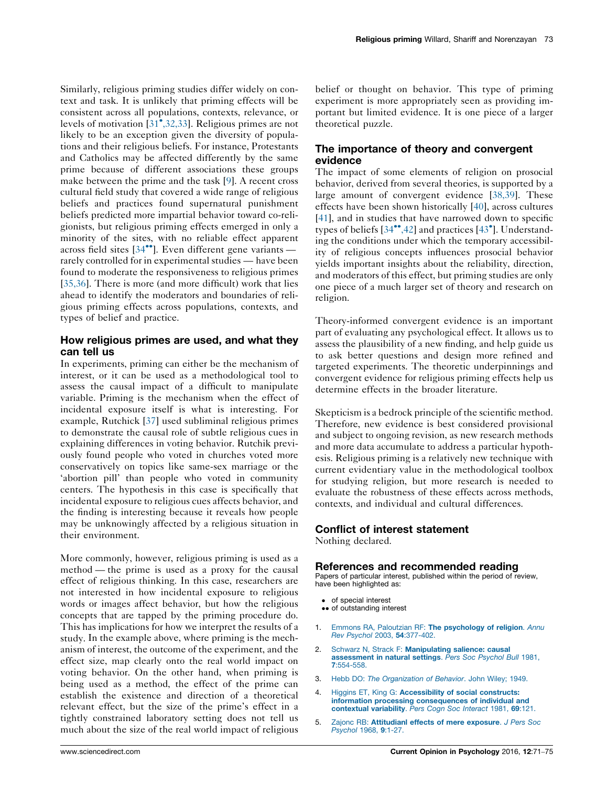<span id="page-2-0"></span>Similarly, religious priming studies differ widely on context and task. It is unlikely that priming effects will be consistent across all populations, contexts, relevance, or levels of motivation  $\left[31^{\bullet},32,33\right]$  $\left[31^{\bullet},32,33\right]$  $\left[31^{\bullet},32,33\right]$  $\left[31^{\bullet},32,33\right]$  $\left[31^{\bullet},32,33\right]$ . Religious primes are not likely to be an exception given the diversity of populations and their religious beliefs. For instance, Protestants and Catholics may be affected differently by the same prime because of different associations these groups make between the prime and the task [\[9](#page-3-0)]. A recent cross cultural field study that covered a wide range of religious beliefs and practices found supernatural punishment beliefs predicted more impartial behavior toward co-religionists, but religious priming effects emerged in only a minority of the sites, with no reliable effect apparent across field sites [[34](#page-3-0)\*\*]. Even different gene variants rarely controlled for in experimental studies — have been found to moderate the responsiveness to religious primes [\[35,36\]](#page-3-0). There is more (and more difficult) work that lies ahead to identify the moderators and boundaries of religious priming effects across populations, contexts, and types of belief and practice.

## How religious primes are used, and what they can tell us

In experiments, priming can either be the mechanism of interest, or it can be used as a methodological tool to assess the causal impact of a difficult to manipulate variable. Priming is the mechanism when the effect of incidental exposure itself is what is interesting. For example, Rutchick [\[37](#page-3-0)] used subliminal religious primes to demonstrate the causal role of subtle religious cues in explaining differences in voting behavior. Rutchik previously found people who voted in churches voted more conservatively on topics like same-sex marriage or the 'abortion pill' than people who voted in community centers. The hypothesis in this case is specifically that incidental exposure to religious cues affects behavior, and the finding is interesting because it reveals how people may be unknowingly affected by a religious situation in their environment.

More commonly, however, religious priming is used as a method — the prime is used as a proxy for the causal effect of religious thinking. In this case, researchers are not interested in how incidental exposure to religious words or images affect behavior, but how the religious concepts that are tapped by the priming procedure do. This has implications for how we interpret the results of a study. In the example above, where priming is the mechanism of interest, the outcome of the experiment, and the effect size, map clearly onto the real world impact on voting behavior. On the other hand, when priming is being used as a method, the effect of the prime can establish the existence and direction of a theoretical relevant effect, but the size of the prime's effect in a tightly constrained laboratory setting does not tell us much about the size of the real world impact of religious belief or thought on behavior. This type of priming experiment is more appropriately seen as providing important but limited evidence. It is one piece of a larger theoretical puzzle.

# The importance of theory and convergent evidence

The impact of some elements of religion on prosocial behavior, derived from several theories, is supported by a large amount of convergent evidence [\[38,39\]](#page-3-0). These effects have been shown historically [\[40](#page-3-0)], across cultures [[41](#page-3-0)], and in studies that have narrowed down to specific types of beliefs [\[34](#page-3-0)\*[,42](#page-3-0)] and practices [[43](#page-4-0)\*]. Understanding the conditions under which the temporary accessibility of religious concepts influences prosocial behavior yields important insights about the reliability, direction, and moderators of this effect, but priming studies are only one piece of a much larger set of theory and research on religion.

Theory-informed convergent evidence is an important part of evaluating any psychological effect. It allows us to assess the plausibility of a new finding, and help guide us to ask better questions and design more refined and targeted experiments. The theoretic underpinnings and convergent evidence for religious priming effects help us determine effects in the broader literature.

Skepticism is a bedrock principle of the scientific method. Therefore, new evidence is best considered provisional and subject to ongoing revision, as new research methods and more data accumulate to address a particular hypothesis. Religious priming is a relatively new technique with current evidentiary value in the methodological toolbox for studying religion, but more research is needed to evaluate the robustness of these effects across methods, contexts, and individual and cultural differences.

## Conflict of interest statement

Nothing declared.

## References and recommended reading

Papers of particular interest, published within the period of review, have been highlighted as:

- of special interest
- •• of outstanding interest
- 1. Emmons RA, Paloutzian RF: The [psychology](http://refhub.elsevier.com/S2352-250X(16)30076-8/sbref0220) of religion. Annu Rev Psychol 2003, 54[:377-402.](http://refhub.elsevier.com/S2352-250X(16)30076-8/sbref0220)
- 2. Schwarz N, Strack F: [Manipulating](http://refhub.elsevier.com/S2352-250X(16)30076-8/sbref0225) salience: causal [assessment](http://refhub.elsevier.com/S2352-250X(16)30076-8/sbref0225) in natural settings. Pers Soc Psychol Bull 1981, 7[:554-558.](http://refhub.elsevier.com/S2352-250X(16)30076-8/sbref0225)
- 3. Hebb DO: The [Organization](http://refhub.elsevier.com/S2352-250X(16)30076-8/sbref0230) of Behavior. John Wiley; 1949.
- 4. Higgins ET, King G: [Accessibility](http://refhub.elsevier.com/S2352-250X(16)30076-8/sbref0235) of social constructs: information processing [consequences](http://refhub.elsevier.com/S2352-250X(16)30076-8/sbref0235) of individual and [contextual](http://refhub.elsevier.com/S2352-250X(16)30076-8/sbref0235) variability. Pers Cogn Soc Interact 1981, 69:121.
- 5. Zajonc RB: [Attitudianl](http://refhub.elsevier.com/S2352-250X(16)30076-8/sbref0240) effects of mere exposure. J Pers Soc [Psychol](http://refhub.elsevier.com/S2352-250X(16)30076-8/sbref0240) 1968, 9:1-27.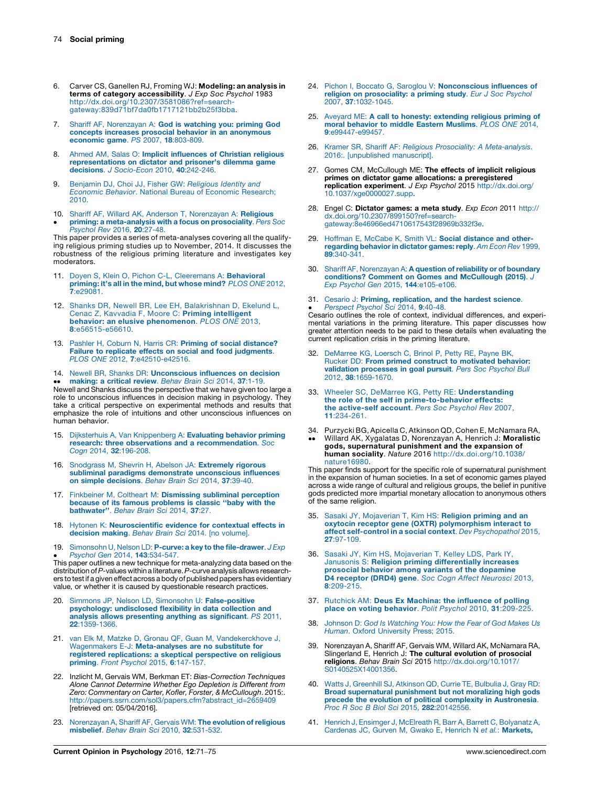- <span id="page-3-0"></span>6. Carver CS, Ganellen RJ, Froming WJ: Modeling: an analysis in terms of category accessibility. J Exp Soc Psychol 1983 [http://dx.doi.org/10.2307/3581086?ref=search](http://dx.doi.org/10.2307/3581086?ref=search-gateway:839d71bf7da0fb1717121bb2b25f3bba)[gateway:839d71bf7da0fb1717121bb2b25f3bba.](http://dx.doi.org/10.2307/3581086?ref=search-gateway:839d71bf7da0fb1717121bb2b25f3bba)
- 7. Shariff AF, [Norenzayan](http://refhub.elsevier.com/S2352-250X(16)30076-8/sbref0250) A: God is watching you: priming God concepts increases prosocial behavior in an [anonymous](http://refhub.elsevier.com/S2352-250X(16)30076-8/sbref0250) [economic](http://refhub.elsevier.com/S2352-250X(16)30076-8/sbref0250) game. PS 2007, 18:803-809.
- 8. Ahmed AM, Salas O: Implicit [influences](http://refhub.elsevier.com/S2352-250X(16)30076-8/sbref0255) of Christian religious [representations](http://refhub.elsevier.com/S2352-250X(16)30076-8/sbref0255) on dictator and prisoner's dilemma game decisions. J [Socio-Econ](http://refhub.elsevier.com/S2352-250X(16)30076-8/sbref0255) 2010, 40:242-246.
- 9. [Benjamin](http://refhub.elsevier.com/S2352-250X(16)30076-8/sbref0260) DJ, Choi JJ, Fisher GW: Religious Identity and Economic Behavior. National Bureau of Economic [Research;](http://refhub.elsevier.com/S2352-250X(16)30076-8/sbref0260) [2010.](http://refhub.elsevier.com/S2352-250X(16)30076-8/sbref0260)
- 10. Shariff AF, Willard AK, Anderson T, [Norenzayan](http://refhub.elsevier.com/S2352-250X(16)30076-8/sbref0265) A: Religious  $\bullet$ priming: a [meta-analysis](http://refhub.elsevier.com/S2352-250X(16)30076-8/sbref0265) with a focus on prosociality. Pers Soc [Psychol](http://refhub.elsevier.com/S2352-250X(16)30076-8/sbref0265) Rev 2016, 20:27-48.

This paper provides a series of meta-analyses covering all the qualifying religious priming studies up to November, 2014. It discusses the robustness of the religious priming literature and investigates key moderators.

- 11. Doven S, Klein O, Pichon C-L, [Cleeremans](http://refhub.elsevier.com/S2352-250X(16)30076-8/sbref0270) A: Behavioral [priming:](http://refhub.elsevier.com/S2352-250X(16)30076-8/sbref0270) it's all in the mind, but whose mind? *PLOS ONE* 2012,<br>7[:e29081.](http://refhub.elsevier.com/S2352-250X(16)30076-8/sbref0270)
- 12. Shanks DR, Newell BR, Lee EH, [Balakrishnan](http://refhub.elsevier.com/S2352-250X(16)30076-8/sbref0275) D, Ekelund L, Cenac Z, Kavvadia F, Moore C: Priming [intelligent](http://refhub.elsevier.com/S2352-250X(16)30076-8/sbref0275) behavior: an elusive [phenomenon](http://refhub.elsevier.com/S2352-250X(16)30076-8/sbref0275). PLOS ONE 2013, 8[:e56515-e56610.](http://refhub.elsevier.com/S2352-250X(16)30076-8/sbref0275)
- 13. Pashler H, Coburn N, Harris CR: Priming of social [distance?](http://refhub.elsevier.com/S2352-250X(16)30076-8/sbref0280) Failure to replicate effects on social and food [judgments](http://refhub.elsevier.com/S2352-250X(16)30076-8/sbref0280). PLOS ONE 2012, 7[:e42510-e42516.](http://refhub.elsevier.com/S2352-250X(16)30076-8/sbref0280)
- 14. Newell BR, Shanks DR: [Unconscious](http://refhub.elsevier.com/S2352-250X(16)30076-8/sbref0285) influences on decision

●● **making: a critical review**. *Behav Brain Sci 2*014, **37**:1-19.<br>Newell and Shanks discuss the perspective that we have given too large a [making:](http://refhub.elsevier.com/S2352-250X(16)30076-8/sbref0285) a critical review. Behav Brain Sci 2014, 37:1-19. role to unconscious influences in decision making in psychology. They take a critical perspective on experimental methods and results that emphasize the role of intuitions and other unconscious influences on human behavior.

- 15. Dijksterhuis A, Van [Knippenberg](http://refhub.elsevier.com/S2352-250X(16)30076-8/sbref0290) A: Evaluating behavior priming research: three observations and a [recommendation](http://refhub.elsevier.com/S2352-250X(16)30076-8/sbref0290). Soc Cogn 2014, 32[:196-208.](http://refhub.elsevier.com/S2352-250X(16)30076-8/sbref0290)
- 16. [Snodgrass](http://refhub.elsevier.com/S2352-250X(16)30076-8/sbref0295) M, Shevrin H, Abelson JA: Extremely rigorous subliminal paradigms [demonstrate](http://refhub.elsevier.com/S2352-250X(16)30076-8/sbref0295) unconscious influences on simple [decisions](http://refhub.elsevier.com/S2352-250X(16)30076-8/sbref0295). Behav Brain Sci 2014, 37:39-40.
- 17. Finkbeiner M, Coltheart M: [Dismissing](http://refhub.elsevier.com/S2352-250X(16)30076-8/sbref0300) subliminal perception because of its famous [problems](http://refhub.elsevier.com/S2352-250X(16)30076-8/sbref0300) is classic ''baby with the [bathwater''](http://refhub.elsevier.com/S2352-250X(16)30076-8/sbref0300). Behav Brain Sci 2014, 37:27.
- 18. Hytonen K: [Neuroscientific](http://refhub.elsevier.com/S2352-250X(16)30076-8/sbref0305) evidence for contextual effects in [decision](http://refhub.elsevier.com/S2352-250X(16)30076-8/sbref0305) making. Behav Brain Sci 2014. [no volume].
- 19. - This paper outlines a new technique for meta-analyzing data based on the Simonsohn U, Nelson LD: P-curve: a key to the [file-drawer](http://refhub.elsevier.com/S2352-250X(16)30076-8/sbref0310). J Exp Psychol Gen 2014, 143[:534-547.](http://refhub.elsevier.com/S2352-250X(16)30076-8/sbref0310) distribution of P-values within a literature. P-curve analysis allows researchers to test if a given effect across a body of published papers has evidentiary value, or whether it is caused by questionable research practices.
- 20. Simmons JP, Nelson LD, Simonsohn U: [False-positive](http://refhub.elsevier.com/S2352-250X(16)30076-8/sbref0315) psychology: [undisclosed](http://refhub.elsevier.com/S2352-250X(16)30076-8/sbref0315) flexibility in data collection and analysis allows [presenting](http://refhub.elsevier.com/S2352-250X(16)30076-8/sbref0315) anything as significant. PS 2011, 22[:1359-1366.](http://refhub.elsevier.com/S2352-250X(16)30076-8/sbref0315)
- 21. van Elk M, Matzke D, Gronau QF, Guan M, [Vandekerckhove](http://refhub.elsevier.com/S2352-250X(16)30076-8/sbref0320) J, Wagenmakers E-J: [Meta-analyses](http://refhub.elsevier.com/S2352-250X(16)30076-8/sbref0320) are no substitute for registered [replications:](http://refhub.elsevier.com/S2352-250X(16)30076-8/sbref0320) a skeptical perspective on religious priming. Front Psychol 2015, 6[:147-157.](http://refhub.elsevier.com/S2352-250X(16)30076-8/sbref0320)
- 22. Inzlicht M. Gervais WM, Berkman ET: Bias-Correction Techniques Alone Cannot Determine Whether Ego Depletion is Different from Zero: Commentary on Carter, Kofler, Forster, & McCullough. 2015:. [http://papers.ssrn.com/sol3/papers.cfm?abstract\\_id=2659409](http://papers.ssrn.com/sol3/papers.cfm?abstract_id=2659409) [retrieved on: 05/04/2016].
- 23. [Norenzayan](http://refhub.elsevier.com/S2352-250X(16)30076-8/sbref0330) A, Shariff AF, Gervais WM: **The evolution of religious**<br>mi**sbelief**. *Behav Brain Sci* 2010, **32**:531-532.
- 24. Pichon I, Boccato G, Saroglou V: [Nonconscious](http://refhub.elsevier.com/S2352-250X(16)30076-8/sbref0335) influences of religion on [prosociality:](http://refhub.elsevier.com/S2352-250X(16)30076-8/sbref0335) a priming study. Eur J Soc Psychol 2007, 37[:1032-1045.](http://refhub.elsevier.com/S2352-250X(16)30076-8/sbref0335)
- 25. Aveyard ME: A call to honesty: [extending](http://refhub.elsevier.com/S2352-250X(16)30076-8/sbref0340) religious priming of moral [behavior](http://refhub.elsevier.com/S2352-250X(16)30076-8/sbref0340) to middle Eastern Muslims. PLOS ONE 2014, 9[:e99447-e99457.](http://refhub.elsevier.com/S2352-250X(16)30076-8/sbref0340)
- 26. Kramer SR, Shariff AF: Religious Prosociality: A [Meta-analysis](http://refhub.elsevier.com/S2352-250X(16)30076-8/sbref0345). 2016:. [\[unpublished](http://refhub.elsevier.com/S2352-250X(16)30076-8/sbref0345) manuscript].
- 27. Gomes CM, McCullough ME: The effects of implicit religious primes on dictator game allocations: a preregistered replication experiment. J Exp Psychol 2015 [http://dx.doi.org/](http://dx.doi.org/10.1037/xge0000027.supp) [10.1037/xge0000027.supp.](http://dx.doi.org/10.1037/xge0000027.supp)
- 28. Engel C: Dictator games: a meta study. Exp Econ 2011 [http://](http://dx.doi.org/10.2307/899150?ref=search-gateway:8e46966ed4710617543f28969b332f3e) [dx.doi.org/10.2307/899150?ref=search-](http://dx.doi.org/10.2307/899150?ref=search-gateway:8e46966ed4710617543f28969b332f3e)[gateway:8e46966ed4710617543f28969b332f3e](http://dx.doi.org/10.2307/899150?ref=search-gateway:8e46966ed4710617543f28969b332f3e).
- 29. Hoffman E, McCabe K, Smith VL: Social [distance](http://refhub.elsevier.com/S2352-250X(16)30076-8/sbref0360) and other[regarding](http://refhub.elsevier.com/S2352-250X(16)30076-8/sbref0360) behavior in dictator games: reply. Am Econ Rev 1999, 89[:340-341.](http://refhub.elsevier.com/S2352-250X(16)30076-8/sbref0360)
- 30. Shariff AF, Norenzayan A: A question of reliability or of boundary conditions? Comment on Gomes and [McCullough](http://refhub.elsevier.com/S2352-250X(16)30076-8/sbref0365) (2015). J Exp Psychol Gen 2015, 144[:e105-e106.](http://refhub.elsevier.com/S2352-250X(16)30076-8/sbref0365)
- 31. Cesario J: Priming, [replication,](http://refhub.elsevier.com/S2352-250X(16)30076-8/sbref0370) and the hardest science.
- Perspect Psychol Sci 2014, 9:40-48.<br>Cesario outlines the role of context, individual differences, and experi-[Perspect](http://refhub.elsevier.com/S2352-250X(16)30076-8/sbref0370) Psychol Sci 2014, 9:40-48.

mental variations in the priming literature. This paper discusses how greater attention needs to be paid to these details when evaluating the current replication crisis in the priming literature.

- 32. [DeMarree](http://refhub.elsevier.com/S2352-250X(16)30076-8/sbref0375) KG, Loersch C, Brinol P, Petty RE, Payne BK, Rucker DD: From primed construct to [motivated](http://refhub.elsevier.com/S2352-250X(16)30076-8/sbref0375) behavior: validation [processes](http://refhub.elsevier.com/S2352-250X(16)30076-8/sbref0375) in goal pursuit. Pers Soc Psychol Bull 2012, 38[:1659-1670.](http://refhub.elsevier.com/S2352-250X(16)30076-8/sbref0375)
- 33. Wheeler SC, DeMarree KG, Petty RE: [Understanding](http://refhub.elsevier.com/S2352-250X(16)30076-8/sbref0380) the role of the self in [prime-to-behavior](http://refhub.elsevier.com/S2352-250X(16)30076-8/sbref0380) effects: the [active-self](http://refhub.elsevier.com/S2352-250X(16)30076-8/sbref0380) account. Pers Soc Psychol Rev 2007, 11[:234-261.](http://refhub.elsevier.com/S2352-250X(16)30076-8/sbref0380)
- 34. Purzycki BG, Apicella C, Atkinson QD, Cohen E, McNamara RA, --Willard AK, Xygalatas D, Norenzayan A, Henrich J: Moralistic gods, supernatural punishment and the expansion of
- human sociality. Nature 2016 [http://dx.doi.org/10.1038/](http://dx.doi.org/10.1038/nature16980) [nature16980](http://dx.doi.org/10.1038/nature16980). This paper finds support for the specific role of supernatural punishment

in the expansion of human societies. In a set of economic games played across a wide range of cultural and religious groups, the belief in punitive gods predicted more impartial monetary allocation to anonymous others of the same religion.

- 35. Sasaki JY, [Mojaverian](http://refhub.elsevier.com/S2352-250X(16)30076-8/sbref0390) T, Kim HS: Religion priming and an oxytocin receptor gene (OXTR) [polymorphism](http://refhub.elsevier.com/S2352-250X(16)30076-8/sbref0390) interact to affect self-control in a social context. Dev [Psychopathol](http://refhub.elsevier.com/S2352-250X(16)30076-8/sbref0390) 2015, 27[:97-109.](http://refhub.elsevier.com/S2352-250X(16)30076-8/sbref0390)
- 36. Sasaki JY, Kim HS, [Mojaverian](http://refhub.elsevier.com/S2352-250X(16)30076-8/sbref0395) T, Kelley LDS, Park IY, Janusonis S: Religion priming [differentially](http://refhub.elsevier.com/S2352-250X(16)30076-8/sbref0395) increases prosocial behavior among variants of the [dopamine](http://refhub.elsevier.com/S2352-250X(16)30076-8/sbref0395)<br>D4 [receptor](http://refhub.elsevier.com/S2352-250X(16)30076-8/sbref0395) (DRD4) gene. Soc Cogn Affect Neurosci 2013, 8[:209-215.](http://refhub.elsevier.com/S2352-250X(16)30076-8/sbref0395)
- 37. Rutchick AM: Deus Ex Machina: the [influence](http://refhub.elsevier.com/S2352-250X(16)30076-8/sbref0400) of polling place on voting behavior. Polit Psychol 2010, 31[:209-225.](http://refhub.elsevier.com/S2352-250X(16)30076-8/sbref0400)
- 38. Johnson D: God Is [Watching](http://refhub.elsevier.com/S2352-250X(16)30076-8/sbref0405) You: How the Fear of God Makes Us Human. Oxford [University](http://refhub.elsevier.com/S2352-250X(16)30076-8/sbref0405) Press; 2015.
- 39. Norenzayan A, Shariff AF, Gervais WM, Willard AK, McNamara RA, Slingerland E, Henrich J: The cultural evolution of prosocial religions. Behav Brain Sci 2015 [http://dx.doi.org/10.1017/](http://dx.doi.org/10.1017/S0140525X14001356) [S0140525X14001356.](http://dx.doi.org/10.1017/S0140525X14001356)
- 40. Watts J, [Greenhill](http://refhub.elsevier.com/S2352-250X(16)30076-8/sbref0415) SJ, Atkinson QD, Currie TE, Bulbulia J, Gray RD: Broad [supernatural](http://refhub.elsevier.com/S2352-250X(16)30076-8/sbref0415) punishment but not moralizing high gods precede the evolution of political complexity in [Austronesia](http://refhub.elsevier.com/S2352-250X(16)30076-8/sbref0415). Proc R Soc B Biol Sci 2015, 282[:20142556.](http://refhub.elsevier.com/S2352-250X(16)30076-8/sbref0415)
- 41. Henrich J, Ensimger J, [McElreath](http://refhub.elsevier.com/S2352-250X(16)30076-8/sbref0420) R, Barr A, Barrett C, Bolyanatz A, [Cardenas](http://refhub.elsevier.com/S2352-250X(16)30076-8/sbref0420) JC, Gurven M, Gwako E, Henrich N et al.: Markets,